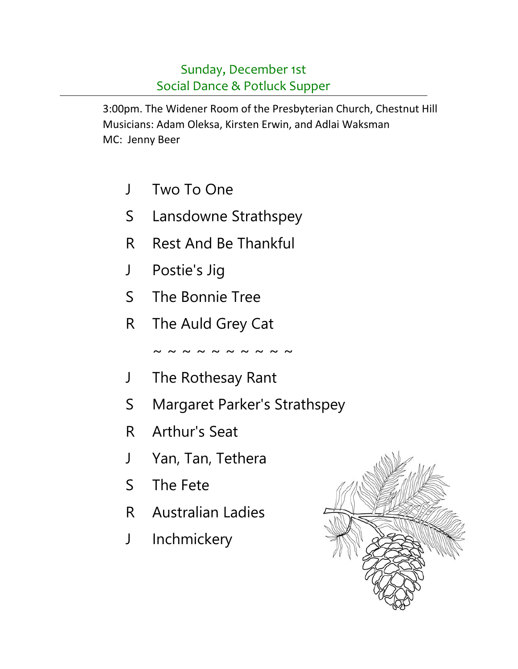# Sunday, December 1st Social Dance & Potluck Supper

3:00pm. The Widener Room of the Presbyterian Church, Chestnut Hill Musicians: Adam Oleksa, Kirsten Erwin, and Adlai Waksman MC: Jenny Beer

- J Two To One
- S Lansdowne Strathspey
- R Rest And Be Thankful
- J Postie's Jig
- S The Bonnie Tree
- R The Auld Grey Cat

~ ~ ~ ~ ~ ~ ~ ~ ~

- J The Rothesay Rant
- S Margaret Parker's Strathspey
- R Arthur's Seat
- J Yan, Tan, Tethera
- S The Fete
- R Australian Ladies
- J Inchmickery

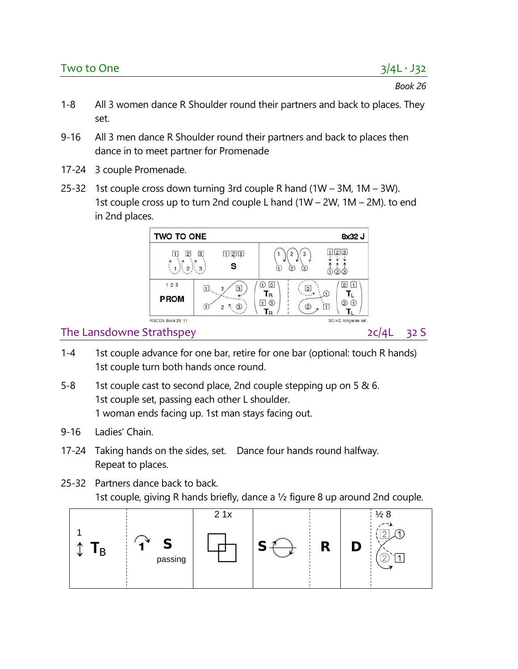- 1-8 All 3 women dance R Shoulder round their partners and back to places. They set.
- 9-16 All 3 men dance R Shoulder round their partners and back to places then dance in to meet partner for Promenade
- 17-24 3 couple Promenade.
- 25-32 1st couple cross down turning 3rd couple R hand (1W 3M, 1M 3W). 1st couple cross up to turn 2nd couple L hand  $(1W - 2W, 1M - 2M)$ . to end in 2nd places.



### The Lansdowne Strathspey 2c/4L 32 S

- 1-4 1st couple advance for one bar, retire for one bar (optional: touch R hands) 1st couple turn both hands once round.
- 5-8 1st couple cast to second place, 2nd couple stepping up on 5 & 6. 1st couple set, passing each other L shoulder. 1 woman ends facing up. 1st man stays facing out.
- 9-16 Ladies' Chain.
- 17-24 Taking hands on the sides, set. Dance four hands round halfway. Repeat to places.
- 25-32 Partners dance back to back. 1st couple, giving R hands briefly, dance a ½ figure 8 up around 2nd couple.

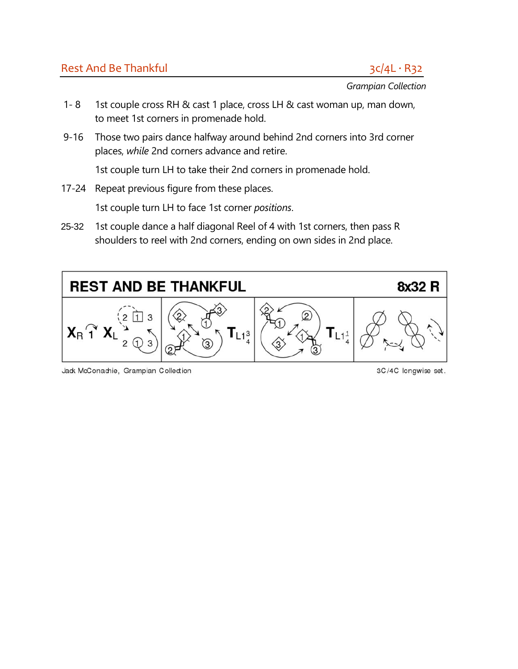#### Rest And Be Thankful  $3c/4L \cdot R32$

*Grampian Collection*

- 1- 8 1st couple cross RH & cast 1 place, cross LH & cast woman up, man down, to meet 1st corners in promenade hold.
- 9-16 Those two pairs dance halfway around behind 2nd corners into 3rd corner places, *while* 2nd corners advance and retire.

1st couple turn LH to take their 2nd corners in promenade hold.

17-24 Repeat previous figure from these places.

1st couple turn LH to face 1st corner *positions*.

25-32 1st couple dance a half diagonal Reel of 4 with 1st corners, then pass R shoulders to reel with 2nd corners, ending on own sides in 2nd place.



Jack McConachie, Grampian Collection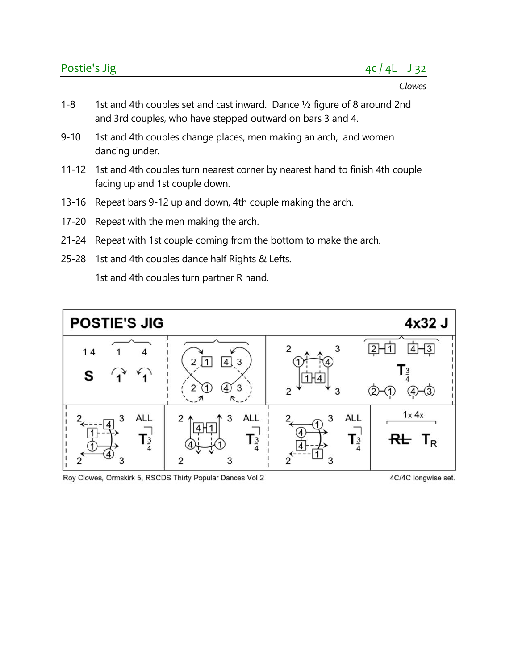*Clowes*

- 1-8 1st and 4th couples set and cast inward. Dance 1/2 figure of 8 around 2nd and 3rd couples, who have stepped outward on bars 3 and 4.
- 9-10 1st and 4th couples change places, men making an arch, and women dancing under.
- 11-12 1st and 4th couples turn nearest corner by nearest hand to finish 4th couple facing up and 1st couple down.
- 13-16 Repeat bars 9-12 up and down, 4th couple making the arch.
- 17-20 Repeat with the men making the arch.
- 21-24 Repeat with 1st couple coming from the bottom to make the arch.
- 25-28 1st and 4th couples dance half Rights & Lefts.

1st and 4th couples turn partner R hand.



Roy Clowes, Ormskirk 5, RSCDS Thirty Popular Dances Vol 2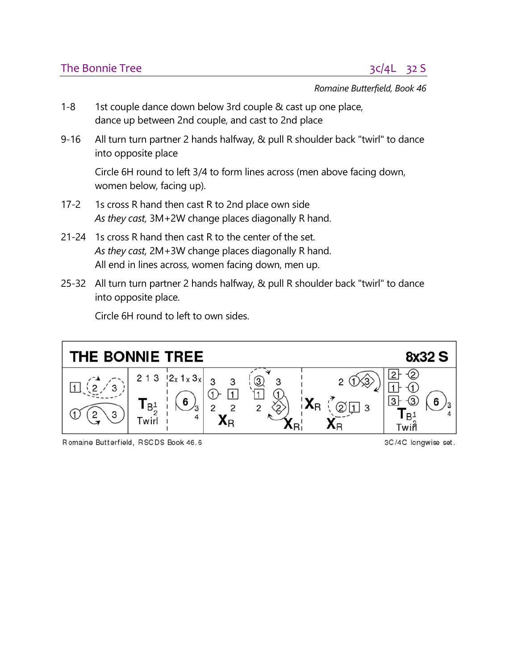*Romaine Butterfield, Book 46*

- 1-8 1st couple dance down below 3rd couple & cast up one place, dance up between 2nd couple, and cast to 2nd place
- 9-16 All turn turn partner 2 hands halfway, & pull R shoulder back "twirl" to dance into opposite place

Circle 6H round to left 3/4 to form lines across (men above facing down, women below, facing up).

- 17-2 1s cross R hand then cast R to 2nd place own side *As they cast,* 3M+2W change places diagonally R hand.
- 21-24 1s cross R hand then cast R to the center of the set. *As they cast,* 2M+3W change places diagonally R hand. All end in lines across, women facing down, men up.
- 25-32 All turn turn partner 2 hands halfway, & pull R shoulder back "twirl" to dance into opposite place.

Circle 6H round to left to own sides.



Romaine Butterfield, RSCDS Book 46.6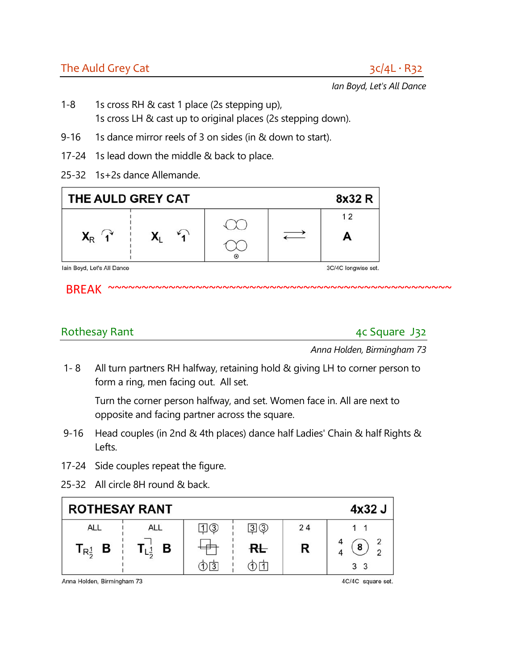## The Auld Grey Cat  $3c/4L \cdot R32$

*Ian Boyd, Let's All Dance*

- 1-8 1s cross RH & cast 1 place (2s stepping up), 1s cross LH & cast up to original places (2s stepping down).
- 9-16 1s dance mirror reels of 3 on sides (in & down to start).
- 17-24 1s lead down the middle & back to place.
- 25-32 1s+2s dance Allemande.



lain Boyd, Let's All Dance

3C/4C longwise set.

BREAK ~~~~~~~~~~~~~~~~~~~~~~~~~~~~~~~~~~~~~~~~~~~~~~~~~~~

#### 4c Square J32

*Anna Holden, Birmingham 73*

1- 8 All turn partners RH halfway, retaining hold & giving LH to corner person to form a ring, men facing out. All set.

Turn the corner person halfway, and set. Women face in. All are next to opposite and facing partner across the square.

- 9-16 Head couples (in 2nd & 4th places) dance half Ladies' Chain & half Rights & Lefts.
- 17-24 Side couples repeat the figure.
- 25-32 All circle 8H round & back.

| <b>ROTHESAY RANT</b>               |     |                                |               |    | $4x32$ J |
|------------------------------------|-----|--------------------------------|---------------|----|----------|
| ALL                                | ALL | $1 \textcircled{3}$            | 30            | 24 |          |
| B<br>$\mathsf{T}_{\mathsf{R}_2^1}$ | в   | $\overline{10}$ $\overline{3}$ | <del>RĿ</del> | R  | 8        |

Anna Holden, Birmingham 73

4C/4C square set.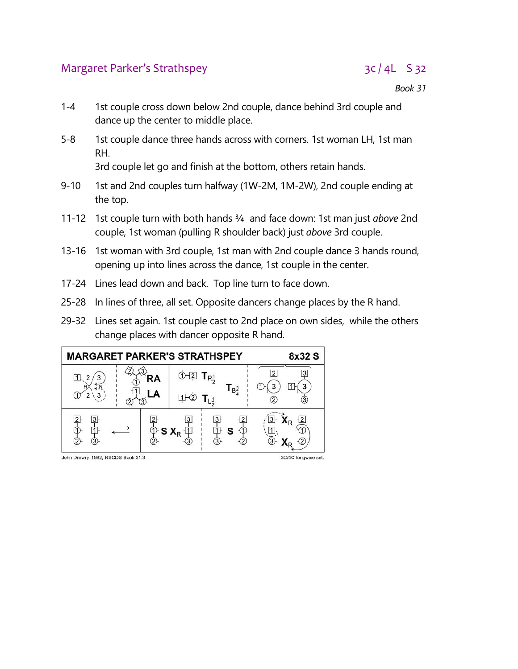#### *Book 31*

- 1-4 1st couple cross down below 2nd couple, dance behind 3rd couple and dance up the center to middle place.
- 5-8 1st couple dance three hands across with corners. 1st woman LH, 1st man RH.

3rd couple let go and finish at the bottom, others retain hands.

- 9-10 1st and 2nd couples turn halfway (1W-2M, 1M-2W), 2nd couple ending at the top.
- 11-12 1st couple turn with both hands ¾ and face down: 1st man just *above* 2nd couple, 1st woman (pulling R shoulder back) just *above* 3rd couple.
- 13-16 1st woman with 3rd couple, 1st man with 2nd couple dance 3 hands round, opening up into lines across the dance, 1st couple in the center.
- 17-24 Lines lead down and back. Top line turn to face down.
- 25-28 In lines of three, all set. Opposite dancers change places by the R hand.
- 29-32 Lines set again. 1st couple cast to 2nd place on own sides, while the others change places with dancer opposite R hand.

| <b>MARGARET PARKER'S STRATHSPEY</b><br>8x32 S |                                                                                 |                |  |  |  |
|-----------------------------------------------|---------------------------------------------------------------------------------|----------------|--|--|--|
|                                               | $\mathsf{\Gamma}_{\mathsf{R}_2^1}$<br>RА<br>$\mathsf{T}_{\mathsf{B}_A^3}$<br>IΑ | $\overline{3}$ |  |  |  |
|                                               | s<br>$S X_R$<br>3                                                               | $\overline{2}$ |  |  |  |

John Drewry, 1982, RSCDS Book 31.3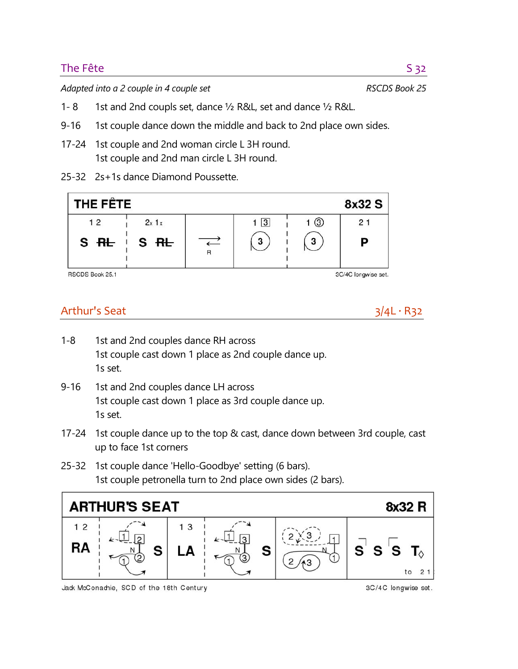## The Fête  $S_3$ 2

- 1- 8 1st and 2nd coupls set, dance 1/2 R&L, set and dance 1/2 R&L.
- 9-16 1st couple dance down the middle and back to 2nd place own sides.
- 17-24 1st couple and 2nd woman circle L 3H round. 1st couple and 2nd man circle L 3H round.
- 25-32 2s+1s dance Diamond Poussette.



## Arthur's Seat  $\frac{3}{4}$ L · R32

- 1-8 1st and 2nd couples dance RH across 1st couple cast down 1 place as 2nd couple dance up. 1s set.
- 9-16 1st and 2nd couples dance LH across 1st couple cast down 1 place as 3rd couple dance up. 1s set.
- 17-24 1st couple dance up to the top & cast, dance down between 3rd couple, cast up to face 1st corners
- 25-32 1st couple dance 'Hello-Goodbye' setting (6 bars). 1st couple petronella turn to 2nd place own sides (2 bars).



Jack McConachie, SCD of the 18th Century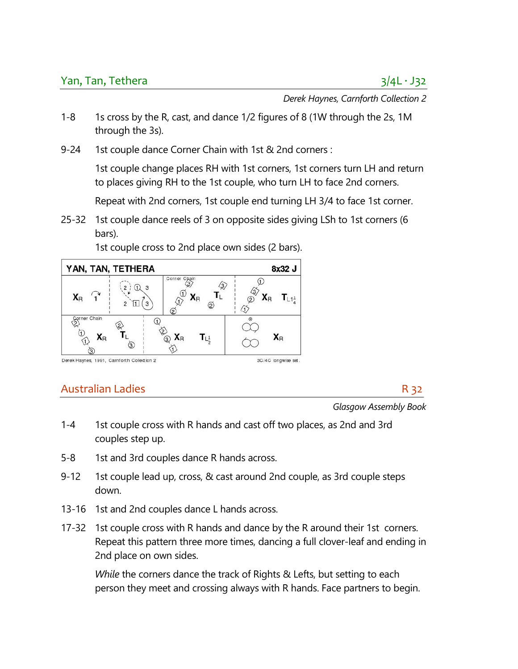*Derek Haynes, Carnforth Collection 2*

- 1-8 1s cross by the R, cast, and dance 1/2 figures of 8 (1W through the 2s, 1M through the 3s).
- 9-24 1st couple dance Corner Chain with 1st & 2nd corners :

1st couple change places RH with 1st corners, 1st corners turn LH and return to places giving RH to the 1st couple, who turn LH to face 2nd corners.

Repeat with 2nd corners, 1st couple end turning LH 3/4 to face 1st corner.

25-32 1st couple dance reels of 3 on opposite sides giving LSh to 1st corners (6 bars).

YAN, TAN, TETHERA 8x32 J  $\odot$ **BASI**  $\mathsf{T}_{\mathsf{L}}$  $X_{R}$  $\boldsymbol{X}_{\text{R}}$  $X_{R}$  $T_{L1<sup>1</sup>}$  $\circled{2}$ Corner Chain  $_{\textcircled{\tiny{R}}}^{\textcircled{\tiny{R}}}$  X<sub>R</sub>  $T_{L_x^1}$  $X_{R}$ X. Q)  $\overline{3}$ 3C/4C longwise set

Derek Haynes, 1991, Carnforth Collection 2

## Australian Ladies **R** 32

*Glasgow Assembly Book*

- 1-4 1st couple cross with R hands and cast off two places, as 2nd and 3rd couples step up.
- 5-8 1st and 3rd couples dance R hands across.
- 9-12 1st couple lead up, cross, & cast around 2nd couple, as 3rd couple steps down.
- 13-16 1st and 2nd couples dance L hands across.
- 17-32 1st couple cross with R hands and dance by the R around their 1st corners. Repeat this pattern three more times, dancing a full clover-leaf and ending in 2nd place on own sides.

*While* the corners dance the track of Rights & Lefts, but setting to each person they meet and crossing always with R hands. Face partners to begin.

1st couple cross to 2nd place own sides (2 bars).